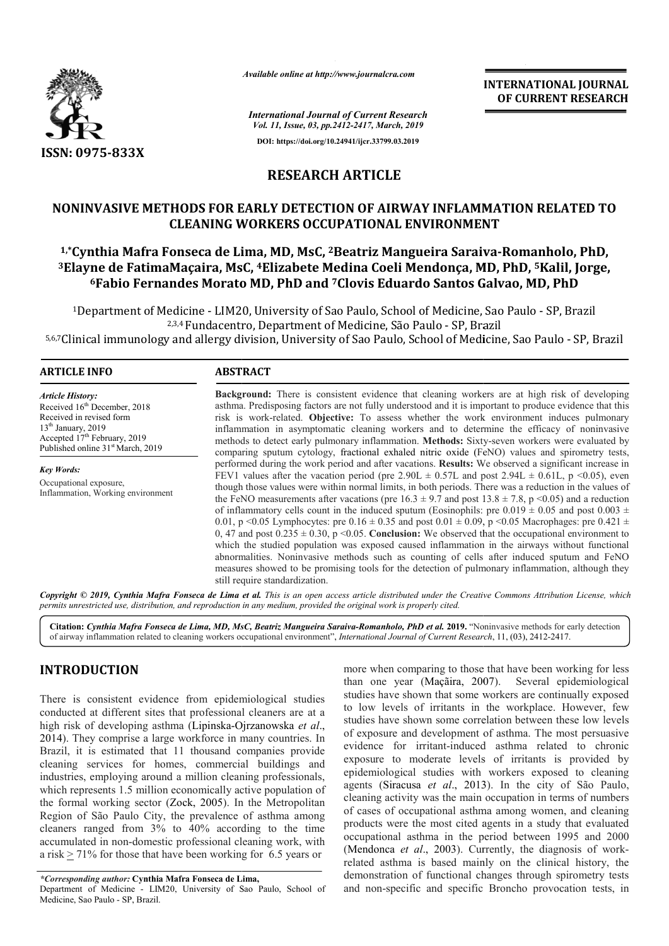

*Available online at http://www.journalcra.com*

*International Journal of Current Research Vol. 11, Issue, 03, pp.2412-2417, March, 2019* **DOI: https://doi.org/10.24941/ijcr.33799.03.2019**

**INTERNATIONAL JOURNAL OF CURRENT RESEARCH**

# **RESEARCH ARTICLE**

# **NONINVASIVE METHODS FOR EARLY DETECTION OF AIRWAY INFLAMMATION RELATED TO CLEANING WORKERS OCCUPATIONAL ENVIRONMENT 1,\*Cynthia Mafra Fonseca de Lima, MD, MsC, Cynthia 2Beatriz Mangueira Saraiva METHODS FOR WORKERS OCCUPATIONAL Beatriz Saraiva-Romanholo, PhD,**

<sup>3</sup>Elayne de FatimaMaçaira, MsC, <sup>4</sup>Elizabete Medina Coeli Mendonça, MD, PhD, <sup>5</sup>Kalil, Jorge, **6Fabio Fernandes Morato MD, PhD and Fabio 7Clovis Eduardo Santos Galvao, MD, PhD Clovis** 

<sup>1</sup>Department of Medicine - LIM20, University of Sao Paulo, School of Medicine, Sao Paulo - SP, Brazil 2,3,4 Fundacentro, Department of Medicine, São Paulo - SP, Brazil 5,6,7Clinical immunology and allergy division, University of Sao Paulo, School of Medicine, Sao Paulo - SP, Brazil

#### **ARTICLE INFO ABSTRACT**

*Article History:* Received 16<sup>th</sup> December, 2018 Received in revised form  $13<sup>th</sup>$  January, 2019 Accepted 17<sup>th</sup> February, 2019 Published online 31<sup>st</sup> March, 2019

*Key Words:* Occupational exposure, Inflammation, Working environment

**Background:**  There is consistent evidence that cleaning workers are at high risk of developing asthma. Predisposing factors are not fully understood and it is important to produce evidence that this risk is work-related. Objective: To assess whether the work environment induces pulmonary inflammation in asymptomatic cleaning workers and to determine the efficacy of noninvasive methods to detect early pulmonary inflammation. **Methods:** Sixty comparing sputum cytology, fractional exhaled nitric oxide (FeNO) values and spirometry tests, performed during the work period and after vacations. **Results:** We observed a significant increase in performed during the work period and after vacations. **Results:** We observed a significant increase in FEV1 values after the vacation period (pre 2.90L  $\pm$  0.57L and post 2.94L  $\pm$  0.61L, p <0.05), even though those values were within normal limits, in both periods. There was a reduction in the values of the FeNO measurements after vacations (pre  $16.3 \pm 9.7$  and post  $13.8 \pm 7.8$ , p <0.05) and a reduction of inflammatory cells count in the induced sputum (Eosinophils: pre  $0.019 \pm 0.05$  and post  $0.003 \pm 0.003$ ) 0.01, p <0.05 Lymphocytes: pre  $0.16 \pm 0.35$  and post  $0.01 \pm 0.09$ , p <0.05 Macrophages: pre  $0.421 \pm 0.09$ 0, 47 and post  $0.235 \pm 0.30$ , p <0.05. **Conclusion:** We observed that the occupational environment to which the studied population was exposed caused inflammation in the airways without functional abnormalities. Noninvasive methods such as counting of cells after induced sputum and FeNO measures showed to be promising tools for the detection of pulmonary inflammation, although they still require standardization. **Background:** There is consistent evidence that cleaning workers are at high risk of developing asthma. Predisposing factors are not fully understood and it is important to produce evidence that this risk is work-related. the FeNO measurements after vacations (pre  $16.3 \pm 9.7$  and post  $13.8 \pm 7.8$ , p <0.05) and a reduction of inflammatory cells count in the induced sputum (Eosinophils: pre 0.019  $\pm$  0.05 and post  $0.003 \pm 0.01$ , p <0.05

Copyright © 2019, Cynthia Mafra Fonseca de Lima et al. This is an open access article distributed under the Creative Commons Attribution License, which permits unrestricted use, distribution, and reproduction in any medium, provided the original work is properly cited.

Citation: Cynthia Mafra Fonseca de Lima, MD, MsC, Beatriz Mangueira Saraiva-Romanholo, PhD et al. 2019. "Noninvasive methods for early detection<br>of airway inflammation related to cleaning workers occupational environment", of airway inflammation related to cleaning workers occupational environment", *International Journal of Current Research* 

# **INTRODUCTION**

There is consistent evidence from epidemiological studies conducted at different sites that professional cleaners are at a high risk of developing asthma (Lipinska-Ojrzanowska Ojrzanowska *et al*., 2014). They comprise a large workforce in many countries. In Brazil, it is estimated that 11 thousand companies provide cleaning services for homes, commercial buildings and industries, employing around a million cleaning professionals, which represents 1.5 million economically active population of the formal working sector (Zock, 2005). In the Metropolitan Region of São Paulo City, the prevalence of asthma among cleaners ranged from 3% to 40% according to the time accumulated in non-domestic professional cleaning work, with a risk > 71% for those that have been working for 6.5 years or They comprise a large workforce in i.<br>
I, it is estimated that 11 thousand c<br>
ng services for homes, commercities, employing around a million clear<br>
represents 1.5 million economically a<br>
rmal working sector (Zock, 2005).

*\*Corresponding author:* **Cynthia Mafra Fonseca de Lima Lima,** Department of Medicine - LIM20, University of Sao Paulo, School of Medicine, Sao Paulo - SP, Brazil.

more when comparing to those that have been working for less than one year (Maçãira, 2007 , 2007). Several epidemiological studies have shown that some workers are continually exposed to low levels of irritants in the workplace. However, few studies have shown some correlation between these low levels of exposure and development of asthma. The most persuasive evidence for irritant-induced asthma related to chron exposure to moderate levels of irritants is provided by epidemiological studies with workers exposed to cleaning agents (Siracusa *et al.*, 2013). In the city of São Paulo, epidemiological studies with workers exposed to cleaning agents (Siracusa *et al*., 2013 cleaning activity was the main occupation in terms of numbers of cases of occupational asthma among women, and cleaning products were the most cited agents in a study that evaluated occupational asthma in the period between 1995 and 2000 (Mendonca et al., 2003). Currently, the diagnosis of workrelated asthma is based mainly on the clinical history, the demonstration of functional changes through spirometry tests and non-specific and specific Broncho provocation tests, in ritants in the workplace. However, few<br>some correlation between these low levels<br>velopment of asthma. The most persuasive<br>ant-induced asthma related to chronic was the main occupation in terms of numbers<br>pational asthma among women, and cleaning<br>e most cited agents in a study that evaluated<br>nma in the period between 1995 and 2000 INTERNATIONAL JOURNAL<br>
OF CURRENT RESEARCH<br>
Content, 3014<br>
Content, 3014<br>
Content, 3014<br>
Content, 3014<br>
LE<br>
LE<br>
LE<br>
LE<br>
LE<br>
HWAY INFLAMMATION RELATED TO<br>
AL ENVIRONMENT<br>
Mangueira Saraiva-Romanholo, PhD,<br>
Dinge,<br>
eduardo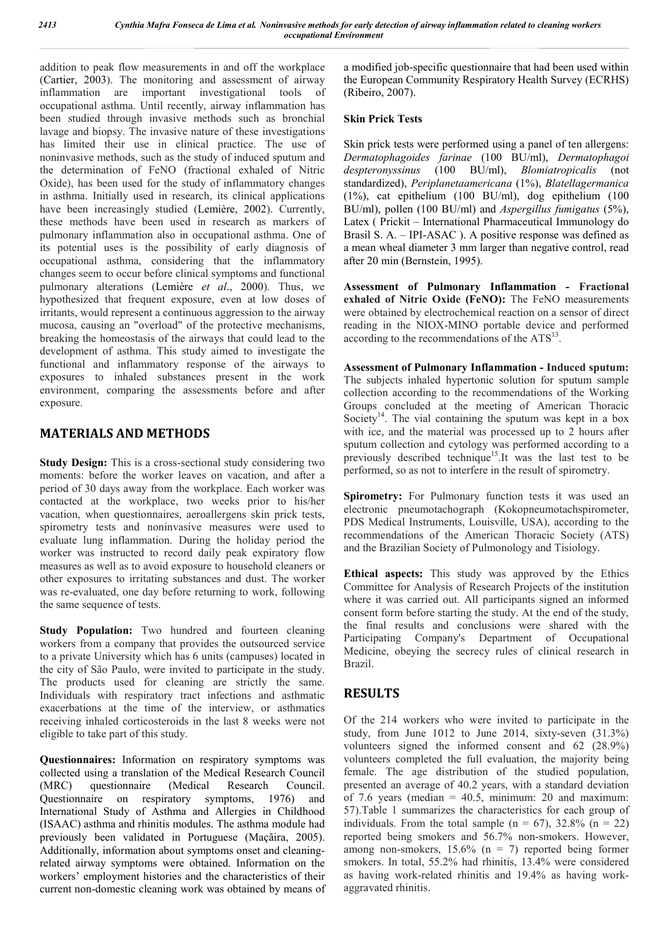addition to peak flow measurements in and off the workplace (Cartier, 2003). The monitoring and assessment of airway inflammation are important investigational tools of occupational asthma. Until recently, airway inflammation has been studied through invasive methods such as bronchial lavage and biopsy. The invasive nature of these investigations has limited their use in clinical practice. The use of noninvasive methods, such as the study of induced sputum and the determination of FeNO (fractional exhaled of Nitric Oxide), has been used for the study of inflammatory changes in asthma. Initially used in research, its clinical applications have been increasingly studied (Lemière, 2002). Currently, these methods have been used in research as markers of pulmonary inflammation also in occupational asthma. One of its potential uses is the possibility of early diagnosis of occupational asthma, considering that the inflammatory changes seem to occur before clinical symptoms and functional pulmonary alterations (Lemière *et al*., 2000). Thus, we hypothesized that frequent exposure, even at low doses of irritants, would represent a continuous aggression to the airway mucosa, causing an "overload" of the protective mechanisms, breaking the homeostasis of the airways that could lead to the development of asthma. This study aimed to investigate the functional and inflammatory response of the airways to exposures to inhaled substances present in the work environment, comparing the assessments before and after exposure.

# **MATERIALS AND METHODS**

**Study Design:** This is a cross-sectional study considering two moments: before the worker leaves on vacation, and after a period of 30 days away from the workplace. Each worker was contacted at the workplace, two weeks prior to his/her vacation, when questionnaires, aeroallergens skin prick tests, spirometry tests and noninvasive measures were used to evaluate lung inflammation. During the holiday period the worker was instructed to record daily peak expiratory flow measures as well as to avoid exposure to household cleaners or other exposures to irritating substances and dust. The worker was re-evaluated, one day before returning to work, following the same sequence of tests.

**Study Population:** Two hundred and fourteen cleaning workers from a company that provides the outsourced service to a private University which has 6 units (campuses) located in the city of São Paulo, were invited to participate in the study. The products used for cleaning are strictly the same. Individuals with respiratory tract infections and asthmatic exacerbations at the time of the interview, or asthmatics receiving inhaled corticosteroids in the last 8 weeks were not eligible to take part of this study.

**Questionnaires:** Information on respiratory symptoms was collected using a translation of the Medical Research Council (MRC) questionnaire (Medical Research Council. Questionnaire on respiratory symptoms, 1976) and International Study of Asthma and Allergies in Childhood (ISAAC) asthma and rhinitis modules. The asthma module had previously been validated in Portuguese (Maçãira, 2005). Additionally, information about symptoms onset and cleaningrelated airway symptoms were obtained. Information on the workers' employment histories and the characteristics of their current non-domestic cleaning work was obtained by means of a modified job-specific questionnaire that had been used within the European Community Respiratory Health Survey (ECRHS) (Ribeiro, 2007).

### **Skin Prick Tests**

Skin prick tests were performed using a panel of ten allergens: *Dermatophagoides farinae* (100 BU/ml), *Dermatophagoi despteronyssinus* (100 BU/ml), *Blomiatropicalis* (not standardized), *Periplanetaamericana* (1%), *Blatellagermanica* (1%), cat epithelium (100 BU/ml), dog epithelium (100 BU/ml), pollen (100 BU/ml) and *Aspergillus fumigatus* (5%), Latex ( Prickit – International Pharmaceutical Immunology do Brasil S. A. – IPI-ASAC ). A positive response was defined as a mean wheal diameter 3 mm larger than negative control, read after 20 min (Bernstein, 1995).

**Assessment of Pulmonary Inflammation - Fractional exhaled of Nitric Oxide (FeNO):** The FeNO measurements were obtained by electrochemical reaction on a sensor of direct reading in the NIOX-MINO portable device and performed according to the recommendations of the ATS<sup>13</sup>.

**Assessment of Pulmonary Inflammation - Induced sputum:**  The subjects inhaled hypertonic solution for sputum sample collection according to the recommendations of the Working Groups concluded at the meeting of American Thoracic Society<sup>14</sup>. The vial containing the sputum was kept in a box with ice, and the material was processed up to 2 hours after sputum collection and cytology was performed according to a previously described technique<sup>15</sup>.It was the last test to be performed, so as not to interfere in the result of spirometry.

Spirometry: For Pulmonary function tests it was used an electronic pneumotachograph (Kokopneumotachspirometer, PDS Medical Instruments, Louisville, USA), according to the recommendations of the American Thoracic Society (ATS) and the Brazilian Society of Pulmonology and Tisiology.

**Ethical aspects:** This study was approved by the Ethics Committee for Analysis of Research Projects of the institution where it was carried out. All participants signed an informed consent form before starting the study. At the end of the study, the final results and conclusions were shared with the Participating Company's Department of Occupational Medicine, obeying the secrecy rules of clinical research in Brazil.

### **RESULTS**

Of the 214 workers who were invited to participate in the study, from June 1012 to June 2014, sixty-seven (31.3%) volunteers signed the informed consent and 62 (28.9%) volunteers completed the full evaluation, the majority being female. The age distribution of the studied population, presented an average of 40.2 years, with a standard deviation of 7.6 years (median  $= 40.5$ , minimum: 20 and maximum: 57).Table 1 summarizes the characteristics for each group of individuals. From the total sample ( $n = 67$ ), 32.8% ( $n = 22$ ) reported being smokers and 56.7% non-smokers. However, among non-smokers, 15.6% (n = 7) reported being former smokers. In total, 55.2% had rhinitis, 13.4% were considered as having work-related rhinitis and 19.4% as having workaggravated rhinitis.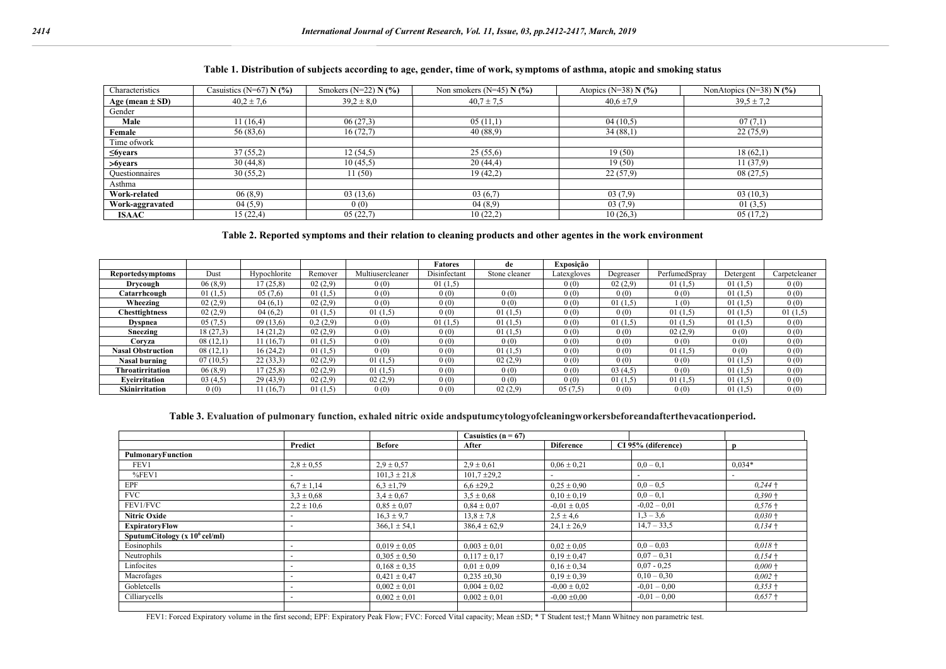#### **Table 1. Distribution of subjects according to age, gender, time of work, symptoms of asthma, atopic and smoking status**

| Characteristics     | Casuistics (N=67) $N$ (%) | Smokers (N=22) $N$ (%) | Non smokers $(N=45)$ N $(\% )$ | Atopics ( $N=38$ ) N (%) | NonAtopics (N=38) $N$ (%) |
|---------------------|---------------------------|------------------------|--------------------------------|--------------------------|---------------------------|
| Age (mean $\pm$ SD) | $40.2 \pm 7.6$            | $39.2 \pm 8.0$         | $40.7 \pm 7.5$                 | $40.6 \pm 7.9$           | $39.5 \pm 7.2$            |
| Gender              |                           |                        |                                |                          |                           |
| Male                | 11(16,4)                  | 06(27,3)               | 05(11,1)                       | 04(10,5)                 | 07(7,1)                   |
| Female              | 56 (83,6)                 | 16(72,7)               | 40(88,9)                       | 34(88,1)                 | 22(75,9)                  |
| Time ofwork         |                           |                        |                                |                          |                           |
| $\leq$ 6 years      | 37(55,2)                  | 12(54,5)               | 25(55,6)                       | 19(50)                   | 18(62,1)                  |
| >6years             | 30(44,8)                  | 10(45,5)               | 20(44,4)                       | 19(50)                   | 11(37,9)                  |
| Questionnaires      | 30(55,2)                  | 11(50)                 | 19(42,2)                       | 22(57,9)                 | 08(27,5)                  |
| Asthma              |                           |                        |                                |                          |                           |
| Work-related        | 06(8,9)                   | 03(13,6)               | 03(6,7)                        | 03(7,9)                  | 03(10,3)                  |
| Work-aggravated     | 04(5,9)                   | 0(0)                   | 04(8,9)                        | 03(7,9)                  | 01(3,5)                   |
| <b>ISAAC</b>        | 15(22,4)                  | 05(22,7)               | 10(22,2)                       | 10(26,3)                 | 05(17,2)                  |

#### **Table 2. Reported symptoms and their relation to cleaning products and other agentes in the work environment**

|                          |          |              |          |                  | <b>Fatores</b> | de            | Exposição   |           |               |           |               |
|--------------------------|----------|--------------|----------|------------------|----------------|---------------|-------------|-----------|---------------|-----------|---------------|
| <b>Reportedsymptoms</b>  | Dust     | Hypochlorite | Remover  | Multiusercleaner | Disinfectant   | Stone cleaner | Latexgloves | Degreaser | PerfumedSpray | Detergent | Carpetcleaner |
| Drycough                 | 06(8,9)  | (7(25,8))    | 02(2,9)  | 0(0)             | 01(1,5)        |               | 0(0)        | 02(2,9)   | 01(1,5)       | 01(1,5)   | 0(0)          |
| Catarrhcough             | 01(1,5)  | 05(7,6)      | 01(1,5)  | 0(0)             | 0(0)           | 0(0)          | 0(0)        | 0(0)      | 0(0)          | 01(1,5)   | 0(0)          |
| Wheezing                 | 02(2,9)  | 04(6,1)      | 02(2,9)  | 0(0)             | 0(0)           | 0(0)          | 0(0)        | 01(1,5)   | (0)           | 01(1,5)   | 0(0)          |
| <b>Chesttightness</b>    | 02(2,9)  | 04(6,2)      | 01(1,5)  | 01(1,5)          | 0(0)           | 01(1,5)       | 0(0)        | 0(0)      | 01(1,5)       | 01(1,5)   | 01(1,5)       |
| <b>Dyspnea</b>           | 05(7,5)  | 09(13,6)     | 0,2(2,9) | 0(0)             | 01(1,5)        | 01(1,5)       | 0(0)        | 01(1,5)   | 01(1,5)       | 01(1,5)   | 0(0)          |
| Sneezing                 | 18(27,3) | 14(21,2)     | 02(2,9)  | 0(0)             | 0(0)           | 01(1,5)       | 0(0)        | 0(0)      | 02(2,9)       | 0(0)      | 0(0)          |
| Corvza                   | 08(12,1) | 11(16,7)     | 01(1,5)  | 0(0)             | 0(0)           | 0(0)          | 0(0)        | 0(0)      | 0(0)          | 0(0)      | 0(0)          |
| <b>Nasal Obstruction</b> | 08(12,1) | 16(24,2)     | 01(1,5)  | 0(0)             | 0(0)           | 01(1,5)       | 0(0)        | 0(0)      | 01(1,5)       | 0(0)      | 0(0)          |
| <b>Nasal burning</b>     | 07(10,5) | 22(33,3)     | 02(2,9)  | 01(1,5)          | 0(0)           | 02(2,9)       | 0(0)        | 0(0)      | 0(0)          | 01(1,5)   | 0(0)          |
| Throatirritation         | 06(8,9)  | 17(25,8)     | 02(2,9)  | 01(1,5)          | 0(0)           | 0(0)          | 0(0)        | 03(4,5)   | 0(0)          | 01(1,5)   | 0(0)          |
| Eveirritation            | 03(4,5)  | 29(43,9)     | 02(2,9)  | 02(2,9)          | 0(0)           | 0(0)          | 0(0)        | 01(1,5)   | 01(1,5)       | 01(1,5)   | 0(0)          |
| <b>Skinirritation</b>    | 0(0)     | 11 (16,7)    | 01(1,5)  | 0(0)             | 0(0)           | 02(2,9)       | 05(7.5)     | 0(0)      | 0(0)          | 01(1,5)   | 0(0)          |

#### **Table 3. Evaluation of pulmonary function, exhaled nitric oxide andsputumcytologyofcleaningworkersbeforeandafterthevacationperiod.**

|                                   |                          |                  | Casuistics ( $n = 67$ ) |                          |                          |                          |
|-----------------------------------|--------------------------|------------------|-------------------------|--------------------------|--------------------------|--------------------------|
|                                   | Predict                  | <b>Before</b>    | After                   | <b>Diference</b>         | CI 95% (diference)       | n                        |
| PulmonaryFunction                 |                          |                  |                         |                          |                          |                          |
| FEV1                              | $2.8 \pm 0.55$           | $2.9 \pm 0.57$   | $2.9 \pm 0.61$          | $0.06 \pm 0.21$          | $0,0-0,1$                | $0,034*$                 |
| $%$ FEV1                          | $\overline{a}$           | $101.3 \pm 21.8$ | $101.7 \pm 29.2$        | $\overline{\phantom{0}}$ | $\overline{\phantom{a}}$ | $\overline{\phantom{a}}$ |
| EPF                               | $6.7 \pm 1.14$           | $6.3 \pm 1.79$   | $6,6 \pm 29,2$          | $0.25 \pm 0.90$          | $0,0-0,5$                | $0,244$ +                |
| <b>FVC</b>                        | $3,3 \pm 0,68$           | $3.4 \pm 0.67$   | $3.5 \pm 0.68$          | $0.10 \pm 0.19$          | $0,0-0,1$                | $0,390+$                 |
| FEV1/FVC                          | $2,2 \pm 10,6$           | $0.85 \pm 0.07$  | $0.84 \pm 0.07$         | $-0.01 \pm 0.05$         | $-0,02 - 0,01$           | $0,576+$                 |
| <b>Nitric Oxide</b>               | $\overline{\phantom{0}}$ | $16.3 \pm 9.7$   | $13.8 \pm 7.8$          | $2.5 \pm 4.6$            | $1,3 - 3,6$              | $0,030+$                 |
| <b>ExpiratoryFlow</b>             | $\overline{\phantom{a}}$ | $366.1 \pm 54.1$ | $386.4 \pm 62.9$        | $24.1 \pm 26.9$          | $14,7 - 33,5$            | $0.134 +$                |
| SputumCitology ( $x 10^6$ cel/ml) |                          |                  |                         |                          |                          |                          |
| Eosinophils                       | $\overline{a}$           | $0.019 \pm 0.05$ | $0.003 \pm 0.01$        | $0.02 \pm 0.05$          | $0,0-0,03$               | $0,018$ +                |
| Neutrophils                       | $\overline{a}$           | $0.305 \pm 0.50$ | $0.117 \pm 0.17$        | $0.19 \pm 0.47$          | $0.07 - 0.31$            | $0.154 +$                |
| Linfocites                        | $\overline{\phantom{0}}$ | $0.168 \pm 0.35$ | $0.01 \pm 0.09$         | $0.16 \pm 0.34$          | $0,07 - 0,25$            | $0,000+$                 |
| Macrofages                        | $\overline{\phantom{a}}$ | $0,421 \pm 0,47$ | $0,235 \pm 0,30$        | $0.19 \pm 0.39$          | $0,10-0,30$              | $0,002$ +                |
| Gobletcells                       | $\overline{\phantom{0}}$ | $0,002 \pm 0,01$ | $0.004 \pm 0.02$        | $-0.00 \pm 0.02$         | $-0.01 - 0.00$           | $0,353+$                 |
| Cilliarycells                     |                          | $0,002 \pm 0,01$ | $0,002 \pm 0.01$        | $-0.00 \pm 0.00$         | $-0.01 - 0.00$           | $0,657+$                 |
|                                   |                          |                  |                         |                          |                          |                          |

FEV1: Forced Expiratory volume in the first second; EPF: Expiratory Peak Flow; FVC: Forced Vital capacity; Mean  $\pm SD$ ;  $\pm T$  Student test; $\pm$  Mann Whitney non parametric test.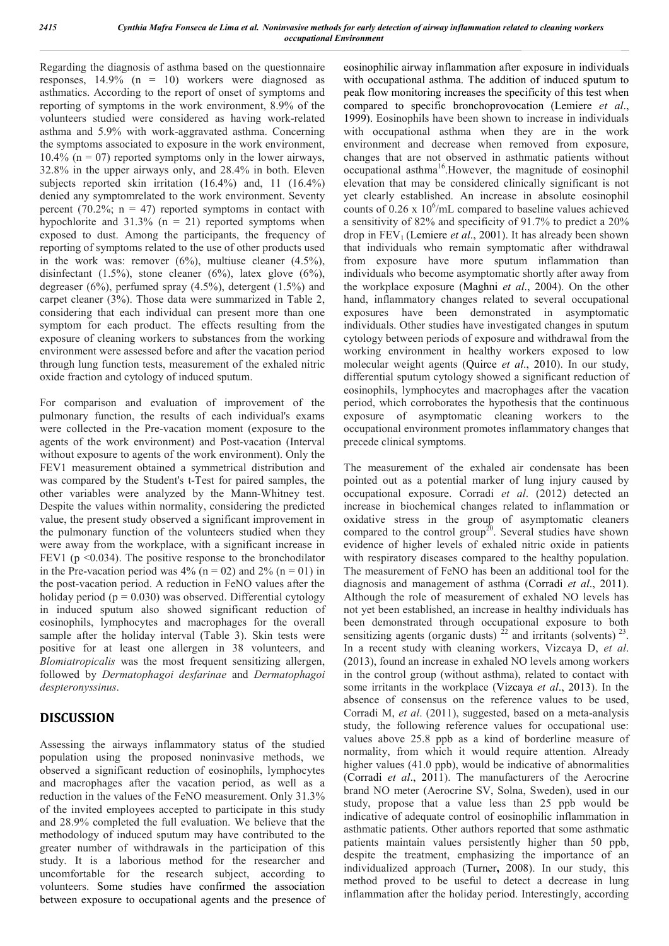Regarding the diagnosis of asthma based on the questionnaire responses, 14.9% (n = 10) workers were diagnosed as asthmatics. According to the report of onset of symptoms and reporting of symptoms in the work environment, 8.9% of the volunteers studied were considered as having work-related asthma and 5.9% with work-aggravated asthma. Concerning the symptoms associated to exposure in the work environment,  $10.4\%$  (n = 07) reported symptoms only in the lower airways, 32.8% in the upper airways only, and 28.4% in both. Eleven subjects reported skin irritation (16.4%) and, 11 (16.4%) denied any symptomrelated to the work environment. Seventy percent (70.2%;  $n = 47$ ) reported symptoms in contact with hypochlorite and  $31.3\%$  (n = 21) reported symptoms when exposed to dust. Among the participants, the frequency of reporting of symptoms related to the use of other products used in the work was: remover  $(6\%)$ , multiuse cleaner  $(4.5\%)$ , disinfectant  $(1.5\%)$ , stone cleaner  $(6\%)$ , latex glove  $(6\%)$ , degreaser  $(6\%)$ , perfumed spray  $(4.5\%)$ , detergent  $(1.5\%)$  and carpet cleaner (3%). Those data were summarized in Table 2, considering that each individual can present more than one symptom for each product. The effects resulting from the exposure of cleaning workers to substances from the working environment were assessed before and after the vacation period through lung function tests, measurement of the exhaled nitric oxide fraction and cytology of induced sputum.

For comparison and evaluation of improvement of the pulmonary function, the results of each individual's exams were collected in the Pre-vacation moment (exposure to the agents of the work environment) and Post-vacation (Interval without exposure to agents of the work environment). Only the FEV1 measurement obtained a symmetrical distribution and was compared by the Student's t-Test for paired samples, the other variables were analyzed by the Mann-Whitney test. Despite the values within normality, considering the predicted value, the present study observed a significant improvement in the pulmonary function of the volunteers studied when they were away from the workplace, with a significant increase in FEV1 ( $p \le 0.034$ ). The positive response to the bronchodilator in the Pre-vacation period was  $4\%$  (n = 02) and  $2\%$  (n = 01) in the post-vacation period. A reduction in FeNO values after the holiday period ( $p = 0.030$ ) was observed. Differential cytology in induced sputum also showed significant reduction of eosinophils, lymphocytes and macrophages for the overall sample after the holiday interval (Table 3). Skin tests were positive for at least one allergen in 38 volunteers, and *Blomiatropicalis* was the most frequent sensitizing allergen, followed by *Dermatophagoi desfarinae* and *Dermatophagoi despteronyssinus*.

# **DISCUSSION**

Assessing the airways inflammatory status of the studied population using the proposed noninvasive methods, we observed a significant reduction of eosinophils, lymphocytes and macrophages after the vacation period, as well as a reduction in the values of the FeNO measurement. Only 31.3% of the invited employees accepted to participate in this study and 28.9% completed the full evaluation. We believe that the methodology of induced sputum may have contributed to the greater number of withdrawals in the participation of this study. It is a laborious method for the researcher and uncomfortable for the research subject, according to volunteers. Some studies have confirmed the association between exposure to occupational agents and the presence of eosinophilic airway inflammation after exposure in individuals with occupational asthma. The addition of induced sputum to peak flow monitoring increases the specificity of this test when compared to specific bronchoprovocation (Lemiere *et al*., 1999). Eosinophils have been shown to increase in individuals with occupational asthma when they are in the work environment and decrease when removed from exposure, changes that are not observed in asthmatic patients without occupational asthma16.However, the magnitude of eosinophil elevation that may be considered clinically significant is not yet clearly established. An increase in absolute eosinophil counts of  $0.26 \times 10^6$ /mL compared to baseline values achieved a sensitivity of 82% and specificity of 91.7% to predict a 20% drop in FEV<sub>1</sub> (Lemiere *et al.*, 2001). It has already been shown that individuals who remain symptomatic after withdrawal from exposure have more sputum inflammation than individuals who become asymptomatic shortly after away from the workplace exposure (Maghni *et al*., 2004). On the other hand, inflammatory changes related to several occupational exposures have been demonstrated in asymptomatic individuals. Other studies have investigated changes in sputum cytology between periods of exposure and withdrawal from the working environment in healthy workers exposed to low molecular weight agents (Quirce *et al*., 2010). In our study, differential sputum cytology showed a significant reduction of eosinophils, lymphocytes and macrophages after the vacation period, which corroborates the hypothesis that the continuous exposure of asymptomatic cleaning workers to the occupational environment promotes inflammatory changes that precede clinical symptoms.

The measurement of the exhaled air condensate has been pointed out as a potential marker of lung injury caused by occupational exposure. Corradi *et al*. (2012) detected an increase in biochemical changes related to inflammation or oxidative stress in the group of asymptomatic cleaners compared to the control group<sup>20</sup>. Several studies have shown evidence of higher levels of exhaled nitric oxide in patients with respiratory diseases compared to the healthy population. The measurement of FeNO has been an additional tool for the diagnosis and management of asthma (Corradi *et al*., 2011). Although the role of measurement of exhaled NO levels has not yet been established, an increase in healthy individuals has been demonstrated through occupational exposure to both sensitizing agents (organic dusts)  $^{22}$  and irritants (solvents)  $^{23}$ . In a recent study with cleaning workers, Vizcaya D, *et al*. (2013), found an increase in exhaled NO levels among workers in the control group (without asthma), related to contact with some irritants in the workplace (Vizcaya *et al*., 2013). In the absence of consensus on the reference values to be used, Corradi M, *et al*. (2011), suggested, based on a meta-analysis study, the following reference values for occupational use: values above 25.8 ppb as a kind of borderline measure of normality, from which it would require attention. Already higher values (41.0 ppb), would be indicative of abnormalities (Corradi *et al*., 2011). The manufacturers of the Aerocrine brand NO meter (Aerocrine SV, Solna, Sweden), used in our study, propose that a value less than 25 ppb would be indicative of adequate control of eosinophilic inflammation in asthmatic patients. Other authors reported that some asthmatic patients maintain values persistently higher than 50 ppb, despite the treatment, emphasizing the importance of an individualized approach (Turner**,** 2008). In our study, this method proved to be useful to detect a decrease in lung inflammation after the holiday period. Interestingly, according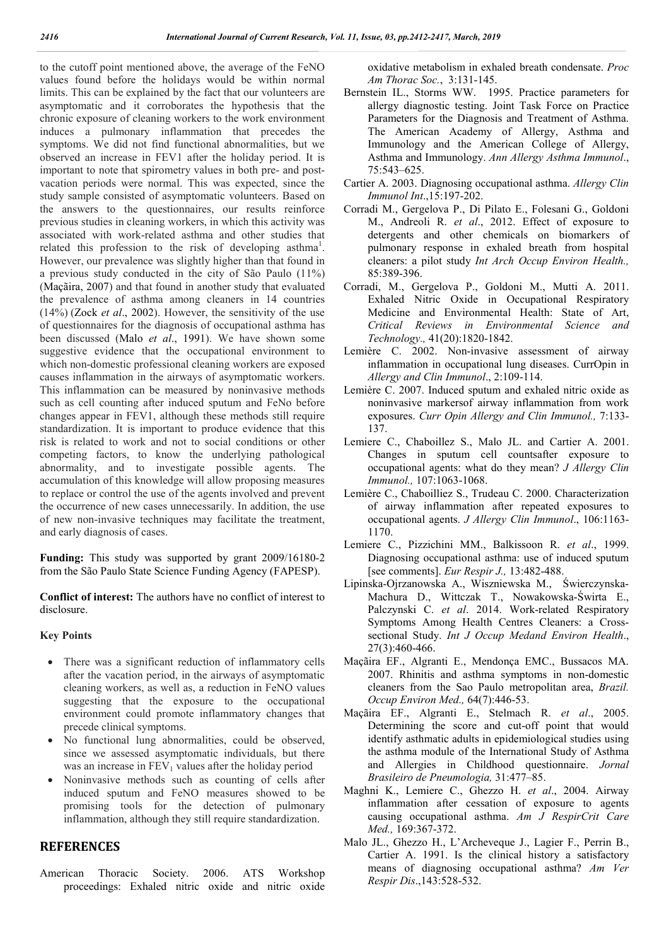to the cutoff point mentioned above, the average of the FeNO values found before the holidays would be within normal limits. This can be explained by the fact that our volunteers are asymptomatic and it corroborates the hypothesis that the chronic exposure of cleaning workers to the work environment induces a pulmonary inflammation that precedes the symptoms. We did not find functional abnormalities, but we observed an increase in FEV1 after the holiday period. It is important to note that spirometry values in both pre- and postvacation periods were normal. This was expected, since the study sample consisted of asymptomatic volunteers. Based on the answers to the questionnaires, our results reinforce previous studies in cleaning workers, in which this activity was associated with work-related asthma and other studies that related this profession to the risk of developing asthma<sup>1</sup>. However, our prevalence was slightly higher than that found in a previous study conducted in the city of São Paulo (11%) (Maçãira, 2007) and that found in another study that evaluated the prevalence of asthma among cleaners in 14 countries (14%) (Zock *et al*., 2002). However, the sensitivity of the use of questionnaires for the diagnosis of occupational asthma has been discussed (Malo *et al*., 1991). We have shown some suggestive evidence that the occupational environment to which non-domestic professional cleaning workers are exposed causes inflammation in the airways of asymptomatic workers. This inflammation can be measured by noninvasive methods such as cell counting after induced sputum and FeNo before changes appear in FEV1, although these methods still require standardization. It is important to produce evidence that this risk is related to work and not to social conditions or other competing factors, to know the underlying pathological abnormality, and to investigate possible agents. The accumulation of this knowledge will allow proposing measures to replace or control the use of the agents involved and prevent the occurrence of new cases unnecessarily. In addition, the use of new non-invasive techniques may facilitate the treatment, and early diagnosis of cases.

**Funding:** This study was supported by grant 2009/16180-2 from the São Paulo State Science Funding Agency (FAPESP).

**Conflict of interest:** The authors have no conflict of interest to disclosure.

### **Key Points**

- There was a significant reduction of inflammatory cells after the vacation period, in the airways of asymptomatic cleaning workers, as well as, a reduction in FeNO values suggesting that the exposure to the occupational environment could promote inflammatory changes that precede clinical symptoms.
- No functional lung abnormalities, could be observed, since we assessed asymptomatic individuals, but there was an increase in  $FEV<sub>1</sub>$  values after the holiday period
- Noninvasive methods such as counting of cells after induced sputum and FeNO measures showed to be promising tools for the detection of pulmonary inflammation, although they still require standardization.

### **REFERENCES**

American Thoracic Society. 2006. ATS Workshop proceedings: Exhaled nitric oxide and nitric oxide

oxidative metabolism in exhaled breath condensate. *Proc Am Thorac Soc.*, 3:131-145.

- Bernstein IL., Storms WW. 1995. Practice parameters for allergy diagnostic testing. Joint Task Force on Practice Parameters for the Diagnosis and Treatment of Asthma. The American Academy of Allergy, Asthma and Immunology and the American College of Allergy, Asthma and Immunology. *Ann Allergy Asthma Immunol*., 75:543–625.
- Cartier A. 2003. Diagnosing occupational asthma. *Allergy Clin Immunol Int*.,15:197-202.
- Corradi M., Gergelova P., Di Pilato E., Folesani G., Goldoni M., Andreoli R. *et al*., 2012. Effect of exposure to detergents and other chemicals on biomarkers of pulmonary response in exhaled breath from hospital cleaners: a pilot study *Int Arch Occup Environ Health.,* 85:389-396.
- Corradi, M., Gergelova P., Goldoni M., Mutti A. 2011. Exhaled Nitric Oxide in Occupational Respiratory Medicine and Environmental Health: State of Art, *Critical Reviews in Environmental Science and Technology.,* 41(20):1820-1842.
- Lemière C. 2002. Non-invasive assessment of airway inflammation in occupational lung diseases. CurrOpin in *Allergy and Clin Immunol*., 2:109-114.
- Lemière C. 2007. Induced sputum and exhaled nitric oxide as noninvasive markersof airway inflammation from work exposures. *Curr Opin Allergy and Clin Immunol.,* 7:133- 137.
- Lemiere C., Chaboillez S., Malo JL. and Cartier A. 2001. Changes in sputum cell countsafter exposure to occupational agents: what do they mean? *J Allergy Clin Immunol.,* 107:1063-1068.
- Lemière C., Chaboilliez S., Trudeau C. 2000. Characterization of airway inflammation after repeated exposures to occupational agents. *J Allergy Clin Immunol*., 106:1163- 1170.
- Lemiere C., Pizzichini MM., Balkissoon R. *et al*., 1999. Diagnosing occupational asthma: use of induced sputum [see comments]. *Eur Respir J.,* 13:482-488.
- Lipinska-Ojrzanowska A., Wiszniewska M., Świerczynska-Machura D., Wittczak T., Nowakowska-Świrta E., Palczynski C. *et al*. 2014. Work-related Respiratory Symptoms Among Health Centres Cleaners: a Crosssectional Study. *Int J Occup Medand Environ Health*., 27(3):460-466.
- Maçãira EF., Algranti E., Mendonça EMC., Bussacos MA. 2007. Rhinitis and asthma symptoms in non-domestic cleaners from the Sao Paulo metropolitan area, *Brazil. Occup Environ Med.,* 64(7):446-53.
- Maçãira EF., Algranti E., Stelmach R. *et al*., 2005. Determining the score and cut-off point that would identify asthmatic adults in epidemiological studies using the asthma module of the International Study of Asthma and Allergies in Childhood questionnaire. *Jornal Brasileiro de Pneumologia,* 31:477–85.
- Maghni K., Lemiere C., Ghezzo H. *et al*., 2004. Airway inflammation after cessation of exposure to agents causing occupational asthma. *Am J RespirCrit Care Med.,* 169:367-372.
- Malo JL., Ghezzo H., L'Archeveque J., Lagier F., Perrin B., Cartier A. 1991. Is the clinical history a satisfactory means of diagnosing occupational asthma? *Am Ver Respir Dis*.,143:528-532.